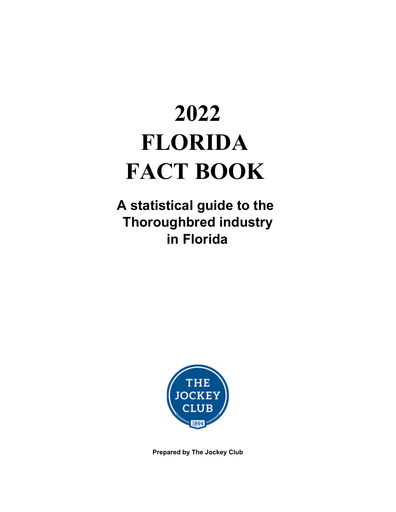# **2022 FLORIDA FACT BOOK**

**A statistical guide to the Thoroughbred industry in Florida**



**Prepared by The Jockey Club**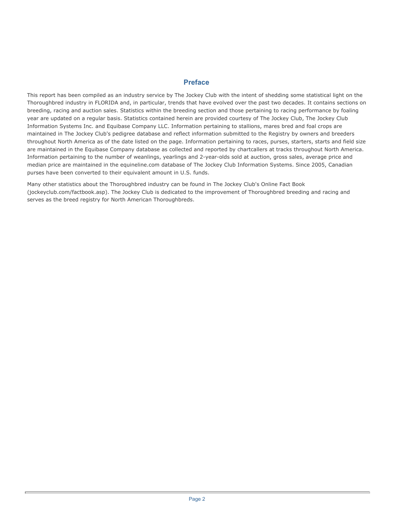#### **Preface**

This report has been compiled as an industry service by The Jockey Club with the intent of shedding some statistical light on the Thoroughbred industry in FLORIDA and, in particular, trends that have evolved over the past two decades. It contains sections on breeding, racing and auction sales. Statistics within the breeding section and those pertaining to racing performance by foaling year are updated on a regular basis. Statistics contained herein are provided courtesy of The Jockey Club, The Jockey Club Information Systems Inc. and Equibase Company LLC. Information pertaining to stallions, mares bred and foal crops are maintained in The Jockey Club's pedigree database and reflect information submitted to the Registry by owners and breeders throughout North America as of the date listed on the page. Information pertaining to races, purses, starters, starts and field size are maintained in the Equibase Company database as collected and reported by chartcallers at tracks throughout North America. Information pertaining to the number of weanlings, yearlings and 2-year-olds sold at auction, gross sales, average price and median price are maintained in the equineline.com database of The Jockey Club Information Systems. Since 2005, Canadian purses have been converted to their equivalent amount in U.S. funds.

Many other statistics about the Thoroughbred industry can be found in The Jockey Club's Online Fact Book (jockeyclub.com/factbook.asp). The Jockey Club is dedicated to the improvement of Thoroughbred breeding and racing and serves as the breed registry for North American Thoroughbreds.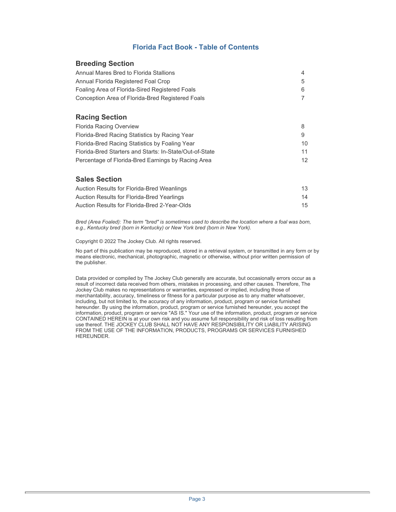#### **Florida Fact Book - Table of Contents**

#### **Breeding Section**

| Annual Mares Bred to Florida Stallions           | △ |
|--------------------------------------------------|---|
| Annual Florida Registered Foal Crop              | 5 |
| Foaling Area of Florida-Sired Registered Foals   |   |
| Conception Area of Florida-Bred Registered Foals |   |

#### **Racing Section**

| <b>Florida Racing Overview</b>                          |    |
|---------------------------------------------------------|----|
| Florida-Bred Racing Statistics by Racing Year           | 9  |
| Florida-Bred Racing Statistics by Foaling Year          | 10 |
| Florida-Bred Starters and Starts: In-State/Out-of-State | 11 |
| Percentage of Florida-Bred Earnings by Racing Area      | 12 |

#### **Sales Section**

| Auction Results for Florida-Bred Weanlings   | 13 |
|----------------------------------------------|----|
| Auction Results for Florida-Bred Yearlings   | 14 |
| Auction Results for Florida-Bred 2-Year-Olds | 15 |

*Bred (Area Foaled): The term "bred" is sometimes used to describe the location where a foal was born, e.g., Kentucky bred (born in Kentucky) or New York bred (born in New York).* 

Copyright © 2022 The Jockey Club. All rights reserved.

No part of this publication may be reproduced, stored in a retrieval system, or transmitted in any form or by means electronic, mechanical, photographic, magnetic or otherwise, without prior written permission of the publisher.

Data provided or compiled by The Jockey Club generally are accurate, but occasionally errors occur as a result of incorrect data received from others, mistakes in processing, and other causes. Therefore, The Jockey Club makes no representations or warranties, expressed or implied, including those of merchantability, accuracy, timeliness or fitness for a particular purpose as to any matter whatsoever, including, but not limited to, the accuracy of any information, product, program or service furnished hereunder. By using the information, product, program or service furnished hereunder, you accept the information, product, program or service "AS IS." Your use of the information, product, program or service CONTAINED HEREIN is at your own risk and you assume full responsibility and risk of loss resulting from use thereof. THE JOCKEY CLUB SHALL NOT HAVE ANY RESPONSIBILITY OR LIABILITY ARISING FROM THE USE OF THE INFORMATION, PRODUCTS, PROGRAMS OR SERVICES FURNISHED HEREUNDER.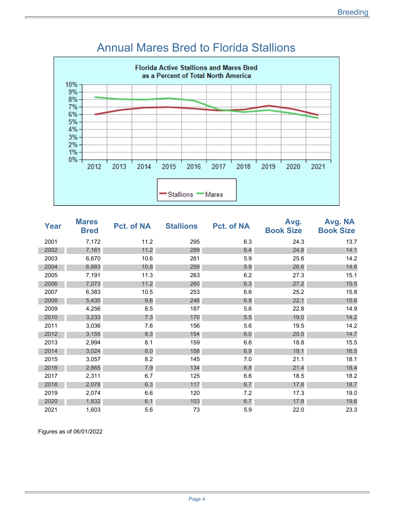

#### Annual Mares Bred to Florida Stallions

| Year | <b>Mares</b><br><b>Bred</b> | Pct. of NA | <b>Stallions</b> | <b>Pct. of NA</b> | Avg.<br><b>Book Size</b> | Avg. NA<br><b>Book Size</b> |
|------|-----------------------------|------------|------------------|-------------------|--------------------------|-----------------------------|
| 2001 | 7,172                       | 11.2       | 295              | 6.3               | 24.3                     | 13.7                        |
| 2002 | 7,161                       | 11.2       | 289              | 6.4               | 24.8                     | 14.1                        |
| 2003 | 6,670                       | 10.6       | 261              | 5.9               | 25.6                     | 14.2                        |
| 2004 | 6,883                       | 10.8       | 259              | 5.9               | 26.6                     | 14.6                        |
| 2005 | 7,191                       | 11.3       | 263              | 6.2               | 27.3                     | 15.1                        |
| 2006 | 7,073                       | 11.2       | 260              | 6.3               | 27.2                     | 15.5                        |
| 2007 | 6,383                       | 10.5       | 253              | 6.6               | 25.2                     | 15.8                        |
| 2008 | 5,430                       | 9.6        | 246              | 6.8               | 22.1                     | 15.6                        |
| 2009 | 4,256                       | 8.5        | 187              | 5.6               | 22.8                     | 14.9                        |
| 2010 | 3,233                       | 7.3        | 170              | 5.5               | 19.0                     | 14.2                        |
| 2011 | 3,036                       | 7.6        | 156              | 5.6               | 19.5                     | 14.2                        |
| 2012 | 3,155                       | 8.3        | 154              | 6.0               | 20.5                     | 14.7                        |
| 2013 | 2,994                       | 8.1        | 159              | 6.6               | 18.8                     | 15.5                        |
| 2014 | 3,024                       | 8.0        | 158              | 6.9               | 19.1                     | 16.5                        |
| 2015 | 3,057                       | 8.2        | 145              | 7.0               | 21.1                     | 18.1                        |
| 2016 | 2,865                       | 7.9        | 134              | 6.8               | 21.4                     | 18.4                        |
| 2017 | 2,311                       | 6.7        | 125              | 6.6               | 18.5                     | 18.2                        |
| 2018 | 2,078                       | 6.3        | 117              | 6.7               | 17.8                     | 18.7                        |
| 2019 | 2,074                       | 6.6        | 120              | 7.2               | 17.3                     | 19.0                        |
| 2020 | 1,832                       | 6.1        | 103              | 6.7               | 17.8                     | 19.6                        |
| 2021 | 1,603                       | 5.6        | 73               | 5.9               | 22.0                     | 23.3                        |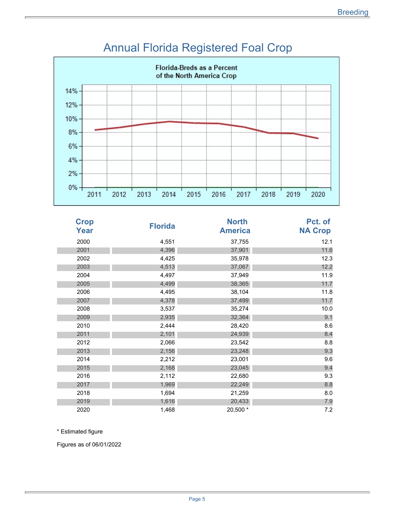

#### Annual Florida Registered Foal Crop

| <b>Crop</b><br>Year | <b>Florida</b> | <b>North</b><br><b>America</b> | Pct. of<br><b>NA Crop</b> |
|---------------------|----------------|--------------------------------|---------------------------|
| 2000                | 4,551          | 37,755                         | 12.1                      |
| 2001                | 4,396          | 37,901                         | 11.6                      |
| 2002                | 4,425          | 35,978                         | 12.3                      |
| 2003                | 4,513          | 37,067                         | 12.2                      |
| 2004                | 4,497          | 37,949                         | 11.9                      |
| 2005                | 4,499          | 38,365                         | 11.7                      |
| 2006                | 4,495          | 38,104                         | 11.8                      |
| 2007                | 4,378          | 37,499                         | 11.7                      |
| 2008                | 3,537          | 35,274                         | 10.0                      |
| 2009                | 2,935          | 32,364                         | 9.1                       |
| 2010                | 2,444          | 28,420                         | 8.6                       |
| 2011                | 2,101          | 24,939                         | 8.4                       |
| 2012                | 2,066          | 23,542                         | 8.8                       |
| 2013                | 2,156          | 23,248                         | 9.3                       |
| 2014                | 2,212          | 23,001                         | 9.6                       |
| 2015                | 2,168          | 23,045                         | 9.4                       |
| 2016                | 2,112          | 22,680                         | 9.3                       |
| 2017                | 1,969          | 22,249                         | 8.8                       |
| 2018                | 1,694          | 21,259                         | 8.0                       |
| 2019                | 1,616          | 20,433                         | 7.9                       |
| 2020                | 1,468          | 20,500 *                       | 7.2                       |

\* Estimated figure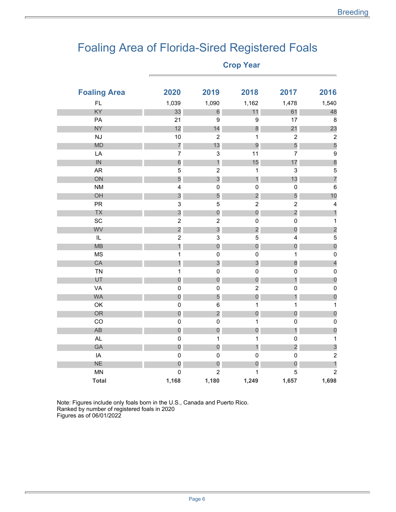### Foaling Area of Florida-Sired Registered Foals

r.

| <b>Foaling Area</b> | 2020                    | 2019                      | 2018                    | 2017                    | 2016                    |
|---------------------|-------------------------|---------------------------|-------------------------|-------------------------|-------------------------|
| <b>FL</b>           | 1,039                   | 1,090                     | 1,162                   | 1,478                   | 1,540                   |
| KY                  | 33                      | $6\phantom{a}$            | 11                      | 61                      | 48                      |
| PA                  | 21                      | $\boldsymbol{9}$          | $\boldsymbol{9}$        | 17                      | $\bf 8$                 |
| <b>NY</b>           | 12                      | 14                        | 8                       | 21                      | 23                      |
| <b>NJ</b>           | 10                      | $\sqrt{2}$                | 1                       | $\mathbf 2$             | $\sqrt{2}$              |
| <b>MD</b>           | $\overline{7}$          | 13                        | $\overline{9}$          | 5                       | 5                       |
| LA                  | $\overline{\mathbf{7}}$ | $\mathsf 3$               | 11                      | $\overline{7}$          | $\boldsymbol{9}$        |
| IN                  | $\overline{6}$          | $\mathbf{1}$              | 15                      | 17                      | $\boldsymbol{8}$        |
| <b>AR</b>           | 5                       | $\overline{2}$            | 1                       | 3                       | $\mathbf 5$             |
| ON                  | 5                       | 3                         | 1                       | 13                      | $\overline{7}$          |
| <b>NM</b>           | 4                       | $\pmb{0}$                 | $\pmb{0}$               | $\pmb{0}$               | $\,6\,$                 |
| OH                  | $\mathfrak{S}$          | 5                         | $\overline{2}$          | 5                       | 10                      |
| PR                  | 3                       | 5                         | $\overline{\mathbf{c}}$ | $\overline{c}$          | $\overline{\mathbf{4}}$ |
| TX                  | 3                       | $\theta$                  | $\boldsymbol{0}$        | $\overline{c}$          | $\mathbf{1}$            |
| SC                  | $\mathbf 2$             | $\boldsymbol{2}$          | $\pmb{0}$               | $\mathbf 0$             | $\mathbf 1$             |
| WV                  | $\overline{c}$          | $\mathfrak{S}$            | $\overline{c}$          | $\boldsymbol{0}$        | $\overline{c}$          |
| $\mathsf{IL}$       | $\boldsymbol{2}$        | $\ensuremath{\mathsf{3}}$ | 5                       | 4                       | $\mathbf 5$             |
| <b>MB</b>           | 1                       | $\boldsymbol{0}$          | $\boldsymbol{0}$        | $\overline{0}$          | $\theta$                |
| <b>MS</b>           | 1                       | $\pmb{0}$                 | $\pmb{0}$               | 1                       | $\mathsf 0$             |
| CA                  | $\mathbf{1}$            | $\mathfrak{S}$            | 3                       | 8                       | $\overline{a}$          |
| <b>TN</b>           | $\mathbf 1$             | $\mathbf 0$               | $\pmb{0}$               | $\mathbf 0$             | $\mathbf 0$             |
| UT                  | $\overline{0}$          | $\theta$                  | $\overline{0}$          | 1                       | $\overline{0}$          |
| VA                  | $\mathbf 0$             | $\mathbf 0$               | $\overline{\mathbf{c}}$ | $\mathbf 0$             | $\pmb{0}$               |
| <b>WA</b>           | $\mathbf{0}$            | 5                         | $\boldsymbol{0}$        | 1                       | $\overline{0}$          |
| OK                  | $\pmb{0}$               | $\,6\,$                   | 1                       | $\mathbf 1$             | $\mathbf{1}$            |
| OR                  | $\mathbf{0}$            | $\overline{c}$            | $\boldsymbol{0}$        | $\boldsymbol{0}$        | $\overline{0}$          |
| CO                  | $\mathbf 0$             | $\pmb{0}$                 | 1                       | $\mathbf 0$             | $\pmb{0}$               |
| AB                  | $\theta$                | $\theta$                  | 0                       | 1                       | $\overline{0}$          |
| <b>AL</b>           | $\mathbf 0$             | $\mathbf{1}$              | 1                       | $\pmb{0}$               | $\mathbf{1}$            |
| GA                  | $\mathbf 0$             | $\boldsymbol{0}$          | 1                       | $\overline{\mathbf{c}}$ | $\mathfrak{S}$          |
| IA                  | $\pmb{0}$               | $\mathbf 0$               | $\pmb{0}$               | $\pmb{0}$               | $\mathbf 2$             |
| <b>NE</b>           | $\boldsymbol{0}$        | $\boldsymbol{0}$          | $\boldsymbol{0}$        | $\boldsymbol{0}$        | $\mathbf{1}$            |
| <b>MN</b>           | $\mathbf 0$             | $\overline{2}$            | 1                       | 5                       | $\overline{2}$          |
| <b>Total</b>        | 1,168                   | 1,180                     | 1,249                   | 1,657                   | 1,698                   |

Note: Figures include only foals born in the U.S., Canada and Puerto Rico. Ranked by number of registered foals in 2020 Figures as of 06/01/2022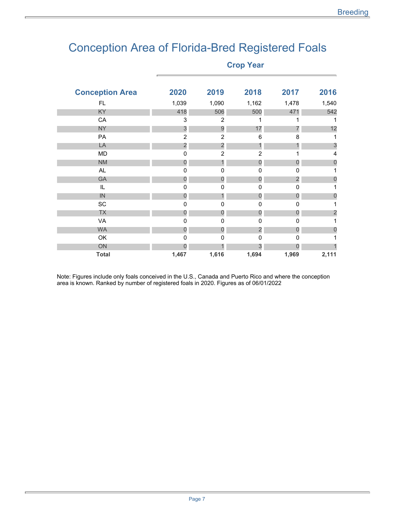### Conception Area of Florida-Bred Registered Foals

**Crop Year** 

| <b>Conception Area</b> | 2020           | 2019           | 2018                    | 2017                    | 2016           |
|------------------------|----------------|----------------|-------------------------|-------------------------|----------------|
| FL.                    | 1,039          | 1,090          | 1,162                   | 1,478                   | 1,540          |
| KY                     | 418            | 506            | 500                     | 471                     | 542            |
| CA                     | 3              | $\overline{2}$ | 1                       | 1                       | 1              |
| <b>NY</b>              | $\mathfrak{S}$ | 9              | 17                      |                         | 12             |
| PA                     | $\overline{2}$ | $\overline{2}$ | 6                       | 8                       | 1              |
| LA                     | $\overline{c}$ | $\overline{c}$ | 1                       | 1                       | 3              |
| <b>MD</b>              | 0              | $\overline{2}$ | $\overline{2}$          | 1                       | $\overline{4}$ |
| <b>NM</b>              | 0              | 1              | $\mathbf 0$             | 0                       | 0              |
| AL.                    | 0              | 0              | 0                       | 0                       |                |
| GA                     | $\mathbf 0$    | $\overline{0}$ | $\overline{0}$          | $\overline{\mathbf{c}}$ | 0              |
| IL                     | 0              | 0              | 0                       | $\pmb{0}$               |                |
| IN                     | 0              | 1              | 0                       | 0                       | 0              |
| SC                     | $\mathbf 0$    | $\mathbf 0$    | 0                       | $\mathbf 0$             | 1              |
| <b>TX</b>              | 0              | $\overline{0}$ | $\mathbf 0$             | $\mathbf 0$             | $\overline{c}$ |
| VA                     | 0              | $\mathbf 0$    | $\pmb{0}$               | 0                       |                |
| <b>WA</b>              | $\mathbf{0}$   | $\mathbf 0$    | $\overline{\mathbf{c}}$ | $\mathbf 0$             | 0              |
| OK                     | $\mathbf 0$    | $\mathbf 0$    | $\pmb{0}$               | $\pmb{0}$               |                |
| ON                     | O              |                | 3                       | 0                       |                |
| <b>Total</b>           | 1,467          | 1,616          | 1,694                   | 1,969                   | 2,111          |
|                        |                |                |                         |                         |                |

Note: Figures include only foals conceived in the U.S., Canada and Puerto Rico and where the conception area is known. Ranked by number of registered foals in 2020. Figures as of 06/01/2022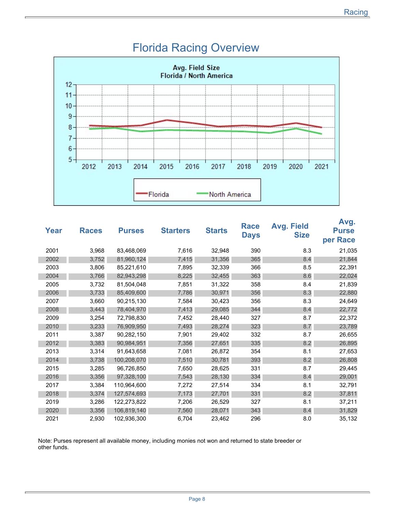

#### Florida Racing Overview

| Year | <b>Races</b> | <b>Purses</b> | <b>Starters</b> | <b>Starts</b> | Race<br><b>Days</b> | <b>Avg. Field</b><br><b>Size</b> | Avg.<br><b>Purse</b><br>per Race |
|------|--------------|---------------|-----------------|---------------|---------------------|----------------------------------|----------------------------------|
| 2001 | 3,968        | 83,468,069    | 7,616           | 32,948        | 390                 | 8.3                              | 21,035                           |
| 2002 | 3,752        | 81,960,124    | 7,415           | 31,356        | 365                 | 8.4                              | 21,844                           |
| 2003 | 3,806        | 85,221,610    | 7,895           | 32,339        | 366                 | 8.5                              | 22,391                           |
| 2004 | 3,766        | 82,943,298    | 8,225           | 32,455        | 363                 | 8.6                              | 22,024                           |
| 2005 | 3,732        | 81,504,048    | 7,851           | 31,322        | 358                 | 8.4                              | 21,839                           |
| 2006 | 3,733        | 85,409,600    | 7,786           | 30,971        | 356                 | 8.3                              | 22,880                           |
| 2007 | 3,660        | 90,215,130    | 7,584           | 30,423        | 356                 | 8.3                              | 24,649                           |
| 2008 | 3,443        | 78,404,970    | 7,413           | 29,085        | 344                 | 8.4                              | 22,772                           |
| 2009 | 3,254        | 72,798,830    | 7,452           | 28,440        | 327                 | 8.7                              | 22,372                           |
| 2010 | 3,233        | 76,909,950    | 7,493           | 28,274        | 323                 | 8.7                              | 23,789                           |
| 2011 | 3,387        | 90,282,150    | 7,901           | 29,402        | 332                 | 8.7                              | 26,655                           |
| 2012 | 3,383        | 90,984,951    | 7,356           | 27,651        | 335                 | 8.2                              | 26,895                           |
| 2013 | 3,314        | 91,643,658    | 7,081           | 26,872        | 354                 | 8.1                              | 27,653                           |
| 2014 | 3,738        | 100,208,070   | 7,510           | 30,781        | 393                 | 8.2                              | 26,808                           |
| 2015 | 3,285        | 96,726,850    | 7,650           | 28,625        | 331                 | 8.7                              | 29,445                           |
| 2016 | 3,356        | 97,328,100    | 7,543           | 28,130        | 334                 | 8.4                              | 29,001                           |
| 2017 | 3,384        | 110,964,600   | 7,272           | 27,514        | 334                 | 8.1                              | 32,791                           |
| 2018 | 3,374        | 127,574,693   | 7,173           | 27,701        | 331                 | 8.2                              | 37,811                           |
| 2019 | 3,286        | 122,273,822   | 7,206           | 26,529        | 327                 | 8.1                              | 37,211                           |
| 2020 | 3,356        | 106,819,140   | 7,560           | 28,071        | 343                 | 8.4                              | 31,829                           |
| 2021 | 2,930        | 102,936,300   | 6,704           | 23,462        | 296                 | 8.0                              | 35,132                           |

Note: Purses represent all available money, including monies not won and returned to state breeder or other funds.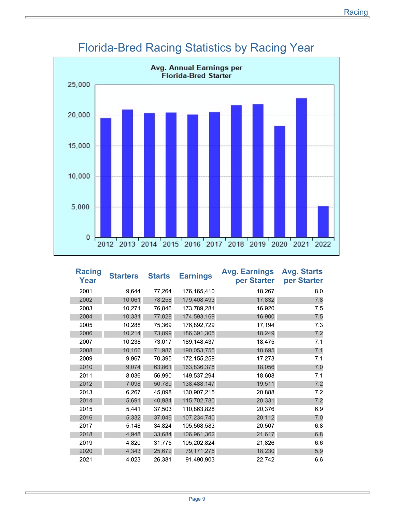

### Florida-Bred Racing Statistics by Racing Year

| <b>Racing</b><br>Year | <b>Starters</b> | <b>Starts</b> | <b>Earnings</b> | <b>Avg. Earnings</b><br>per Starter | <b>Avg. Starts</b><br>per Starter |
|-----------------------|-----------------|---------------|-----------------|-------------------------------------|-----------------------------------|
| 2001                  | 9,644           | 77,264        | 176,165,410     | 18,267                              | 8.0                               |
| 2002                  | 10,061          | 78,258        | 179,408,493     | 17,832                              | 7.8                               |
| 2003                  | 10,271          | 76,846        | 173,789,281     | 16,920                              | 7.5                               |
| 2004                  | 10,331          | 77,028        | 174,593,169     | 16,900                              | 7.5                               |
| 2005                  | 10,288          | 75,369        | 176,892,729     | 17,194                              | 7.3                               |
| 2006                  | 10,214          | 73,899        | 186,391,305     | 18,249                              | 7.2                               |
| 2007                  | 10,238          | 73,017        | 189,148,437     | 18,475                              | 7.1                               |
| 2008                  | 10,166          | 71,987        | 190,053,755     | 18,695                              | 7.1                               |
| 2009                  | 9,967           | 70,395        | 172,155,259     | 17,273                              | 7.1                               |
| 2010                  | 9,074           | 63,861        | 163,836,378     | 18,056                              | 7.0                               |
| 2011                  | 8,036           | 56,990        | 149,537,294     | 18,608                              | 7.1                               |
| 2012                  | 7,098           | 50,789        | 138,488,147     | 19,511                              | 7.2                               |
| 2013                  | 6,267           | 45,098        | 130,907,215     | 20,888                              | 7.2                               |
| 2014                  | 5,691           | 40,984        | 115,702,780     | 20,331                              | 7.2                               |
| 2015                  | 5,441           | 37,503        | 110,863,828     | 20,376                              | 6.9                               |
| 2016                  | 5,332           | 37,046        | 107,234,740     | 20,112                              | 7.0                               |
| 2017                  | 5,148           | 34,824        | 105,568,583     | 20,507                              | 6.8                               |
| 2018                  | 4,948           | 33,684        | 106,961,362     | 21,617                              | 6.8                               |
| 2019                  | 4,820           | 31,775        | 105,202,824     | 21,826                              | 6.6                               |
| 2020                  | 4,343           | 25,672        | 79,171,275      | 18,230                              | 5.9                               |
| 2021                  | 4,023           | 26,381        | 91,490,903      | 22,742                              | 6.6                               |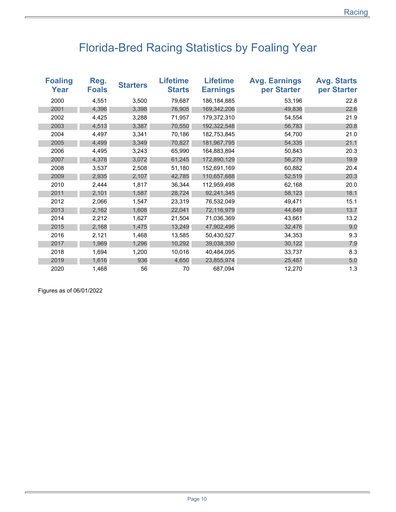# Florida-Bred Racing Statistics by Foaling Year

| <b>Foaling</b><br>Year | Reg.<br><b>Foals</b> | <b>Starters</b> | <b>Lifetime</b><br><b>Starts</b> | <b>Lifetime</b><br><b>Earnings</b> | <b>Avg. Earnings</b><br>per Starter | <b>Avg. Starts</b><br>per Starter |
|------------------------|----------------------|-----------------|----------------------------------|------------------------------------|-------------------------------------|-----------------------------------|
| 2000                   | 4,551                | 3,500           | 79,687                           | 186, 184, 885                      | 53,196                              | 22.8                              |
| 2001                   | 4,396                | 3,398           | 76,905                           | 169,342,206                        | 49,836                              | 22.6                              |
| 2002                   | 4,425                | 3,288           | 71,957                           | 179,372,310                        | 54,554                              | 21.9                              |
| 2003                   | 4,513                | 3,387           | 70,550                           | 192,322,548                        | 56,783                              | 20.8                              |
| 2004                   | 4,497                | 3,341           | 70,186                           | 182.753.845                        | 54,700                              | 21.0                              |
| 2005                   | 4,499                | 3,349           | 70,827                           | 181,967,795                        | 54,335                              | 21.1                              |
| 2006                   | 4,495                | 3,243           | 65,990                           | 164,883,894                        | 50,843                              | 20.3                              |
| 2007                   | 4,378                | 3,072           | 61,245                           | 172,890,129                        | 56,279                              | 19.9                              |
| 2008                   | 3,537                | 2,508           | 51,180                           | 152,691,169                        | 60,882                              | 20.4                              |
| 2009                   | 2,935                | 2,107           | 42,785                           | 110,657,688                        | 52,519                              | 20.3                              |
| 2010                   | 2,444                | 1,817           | 36,344                           | 112,959,498                        | 62,168                              | 20.0                              |
| 2011                   | 2,101                | 1,587           | 28,724                           | 92,241,345                         | 58,123                              | 18.1                              |
| 2012                   | 2,066                | 1,547           | 23,319                           | 76,532,049                         | 49,471                              | 15.1                              |
| 2013                   | 2,162                | 1,608           | 22,041                           | 72,116,979                         | 44,849                              | 13.7                              |
| 2014                   | 2,212                | 1,627           | 21,504                           | 71,036,369                         | 43,661                              | 13.2                              |
| 2015                   | 2,168                | 1,475           | 13,249                           | 47,902,496                         | 32,476                              | 9.0                               |
| 2016                   | 2,121                | 1,468           | 13,585                           | 50,430,527                         | 34,353                              | 9.3                               |
| 2017                   | 1,969                | 1,296           | 10,292                           | 39,038,350                         | 30,122                              | 7.9                               |
| 2018                   | 1,694                | 1,200           | 10,016                           | 40,484,095                         | 33,737                              | 8.3                               |
| 2019                   | 1,616                | 936             | 4,650                            | 23,855,974                         | 25,487                              | 5.0                               |
| 2020                   | 1,468                | 56              | 70                               | 687,094                            | 12,270                              | 1.3                               |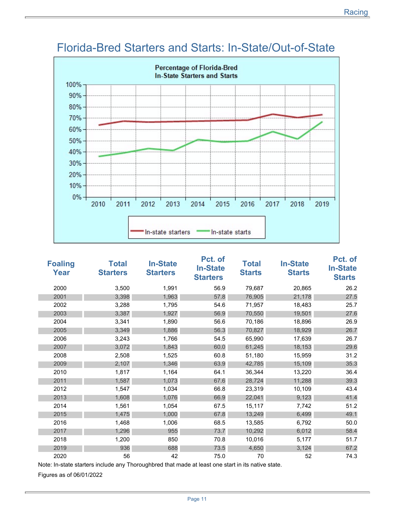

### Florida-Bred Starters and Starts: In-State/Out-of-State

| <b>Foaling</b><br>Year | <b>Total</b><br><b>Starters</b> | <b>In-State</b><br><b>Starters</b> | Pct. of<br><b>In-State</b><br><b>Starters</b> | <b>Total</b><br><b>Starts</b> | <b>In-State</b><br><b>Starts</b> | Pct. of<br><b>In-State</b><br><b>Starts</b> |
|------------------------|---------------------------------|------------------------------------|-----------------------------------------------|-------------------------------|----------------------------------|---------------------------------------------|
| 2000                   | 3,500                           | 1,991                              | 56.9                                          | 79,687                        | 20,865                           | 26.2                                        |
| 2001                   | 3,398                           | 1,963                              | 57.8                                          | 76,905                        | 21,178                           | 27.5                                        |
| 2002                   | 3,288                           | 1,795                              | 54.6                                          | 71,957                        | 18,483                           | 25.7                                        |
| 2003                   | 3,387                           | 1,927                              | 56.9                                          | 70,550                        | 19,501                           | 27.6                                        |
| 2004                   | 3,341                           | 1,890                              | 56.6                                          | 70,186                        | 18,896                           | 26.9                                        |
| 2005                   | 3,349                           | 1,886                              | 56.3                                          | 70,827                        | 18,929                           | 26.7                                        |
| 2006                   | 3,243                           | 1,766                              | 54.5                                          | 65,990                        | 17,639                           | 26.7                                        |
| 2007                   | 3,072                           | 1,843                              | 60.0                                          | 61,245                        | 18,153                           | 29.6                                        |
| 2008                   | 2,508                           | 1,525                              | 60.8                                          | 51,180                        | 15,959                           | 31.2                                        |
| 2009                   | 2,107                           | 1,346                              | 63.9                                          | 42,785                        | 15,109                           | 35.3                                        |
| 2010                   | 1,817                           | 1,164                              | 64.1                                          | 36,344                        | 13,220                           | 36.4                                        |
| 2011                   | 1,587                           | 1,073                              | 67.6                                          | 28,724                        | 11,288                           | 39.3                                        |
| 2012                   | 1,547                           | 1,034                              | 66.8                                          | 23,319                        | 10,109                           | 43.4                                        |
| 2013                   | 1,608                           | 1,076                              | 66.9                                          | 22,041                        | 9,123                            | 41.4                                        |
| 2014                   | 1,561                           | 1,054                              | 67.5                                          | 15,117                        | 7,742                            | 51.2                                        |
| 2015                   | 1,475                           | 1,000                              | 67.8                                          | 13,249                        | 6,499                            | 49.1                                        |
| 2016                   | 1,468                           | 1,006                              | 68.5                                          | 13,585                        | 6,792                            | 50.0                                        |
| 2017                   | 1,296                           | 955                                | 73.7                                          | 10,292                        | 6,012                            | 58.4                                        |
| 2018                   | 1,200                           | 850                                | 70.8                                          | 10,016                        | 5,177                            | 51.7                                        |
| 2019                   | 936                             | 688                                | 73.5                                          | 4,650                         | 3,124                            | 67.2                                        |
| 2020                   | 56                              | 42                                 | 75.0                                          | 70                            | 52                               | 74.3                                        |

Note: In-state starters include any Thoroughbred that made at least one start in its native state.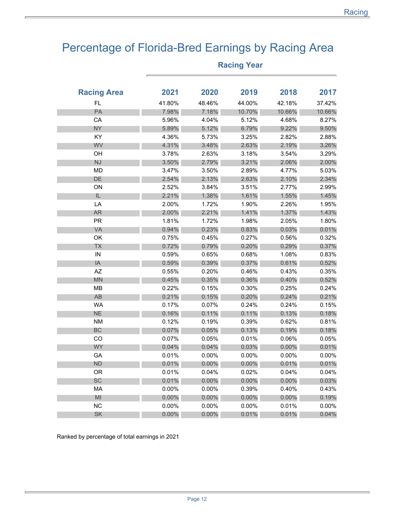## Percentage of Florida-Bred Earnings by Racing Area

| <b>Racing Area</b> | 2021     | 2020     | 2019     | 2018     | 2017     |
|--------------------|----------|----------|----------|----------|----------|
| FL.                | 41.80%   | 48.46%   | 44.00%   | 42.18%   | 37.42%   |
| PA                 | 7.98%    | 7.18%    | 10.70%   | 10.66%   | 10.66%   |
| CA                 | 5.96%    | 4.04%    | 5.12%    | 4.68%    | 8.27%    |
| <b>NY</b>          | 5.89%    | 5.12%    | 6.79%    | 9.22%    | 9.50%    |
| KY                 | 4.36%    | 5.73%    | 3.25%    | 2.82%    | 2.88%    |
| WV                 | 4.31%    | 3.48%    | 2.63%    | 2.19%    | 3.26%    |
| OH                 | 3.78%    | 2.63%    | 3.18%    | 3.54%    | 3.29%    |
| NJ                 | 3.50%    | 2.79%    | 3.21%    | 2.06%    | 2.00%    |
| <b>MD</b>          | 3.47%    | 3.50%    | 2.89%    | 4.77%    | 5.03%    |
| DE                 | 2.54%    | 2.13%    | 2.63%    | 2.10%    | 2.34%    |
| ON                 | 2.52%    | 3.84%    | 3.51%    | 2.77%    | 2.99%    |
| IL                 | 2.21%    | 1.38%    | 1.61%    | 1.55%    | 1.45%    |
| LA                 | 2.00%    | 1.72%    | 1.90%    | 2.26%    | 1.95%    |
| <b>AR</b>          | 2.00%    | 2.21%    | 1.41%    | 1.37%    | 1.43%    |
| <b>PR</b>          | 1.81%    | 1.72%    | 1.98%    | 2.05%    | 1.80%    |
| VA                 | 0.94%    | 0.23%    | 0.83%    | 0.03%    | 0.01%    |
| OK                 | 0.75%    | 0.45%    | 0.27%    | 0.56%    | 0.32%    |
| <b>TX</b>          | 0.72%    | 0.79%    | 0.20%    | 0.29%    | 0.37%    |
| IN                 | 0.59%    | 0.65%    | 0.68%    | 1.08%    | 0.83%    |
| IA                 | 0.59%    | 0.39%    | 0.37%    | 0.61%    | 0.52%    |
| AZ                 | 0.55%    | 0.20%    | 0.46%    | 0.43%    | 0.35%    |
| <b>MN</b>          | 0.45%    | 0.35%    | 0.36%    | 0.40%    | 0.52%    |
| MB                 | 0.22%    | 0.15%    | 0.30%    | 0.25%    | 0.24%    |
| AB                 | 0.21%    | 0.15%    | 0.20%    | 0.24%    | 0.21%    |
| <b>WA</b>          | 0.17%    | 0.07%    | 0.24%    | 0.24%    | 0.15%    |
| <b>NE</b>          | 0.16%    | 0.11%    | 0.11%    | 0.13%    | 0.18%    |
| <b>NM</b>          | 0.12%    | 0.19%    | 0.39%    | 0.62%    | 0.81%    |
| BC                 | 0.07%    | 0.05%    | 0.13%    | 0.19%    | 0.18%    |
| CO                 | 0.07%    | 0.05%    | 0.01%    | 0.06%    | 0.05%    |
| <b>WY</b>          | 0.04%    | 0.04%    | 0.03%    | 0.00%    | 0.01%    |
| GA                 | 0.01%    | 0.00%    | 0.00%    | 0.00%    | $0.00\%$ |
| <b>ND</b>          | 0.01%    | $0.00\%$ | 0.00%    | 0.01%    | 0.01%    |
| 0R                 | 0.01%    | 0.04%    | 0.02%    | 0.04%    | 0.04%    |
| <b>SC</b>          | 0.01%    | $0.00\%$ | $0.00\%$ | $0.00\%$ | 0.03%    |
| MA                 | $0.00\%$ | 0.00%    | 0.39%    | 0.40%    | 0.43%    |
| MI                 | 0.00%    | $0.00\%$ | 0.00%    | $0.00\%$ | 0.19%    |
| <b>NC</b>          | $0.00\%$ | 0.00%    | 0.00%    | 0.01%    | $0.00\%$ |
| <b>SK</b>          | 0.00%    | 0.00%    | 0.01%    | 0.01%    | 0.04%    |

#### **Racing Year**

Ranked by percentage of total earnings in 2021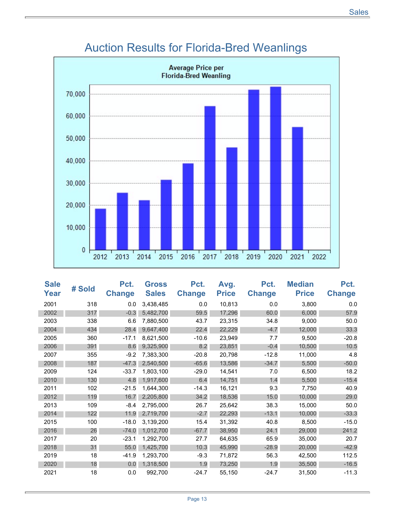

### Auction Results for Florida-Bred Weanlings

| <b>Sale</b><br>Year | # Sold | Pct.<br><b>Change</b> | <b>Gross</b><br><b>Sales</b> | Pct.<br><b>Change</b> | Avg.<br><b>Price</b> | Pct.<br><b>Change</b> | <b>Median</b><br><b>Price</b> | Pct.<br><b>Change</b> |
|---------------------|--------|-----------------------|------------------------------|-----------------------|----------------------|-----------------------|-------------------------------|-----------------------|
| 2001                | 318    | 0.0                   | 3,438,485                    | 0.0                   | 10,813               | 0.0                   | 3,800                         | 0.0                   |
|                     |        |                       |                              |                       |                      |                       |                               |                       |
| 2002                | 317    | $-0.3$                | 5,482,700                    | 59.5                  | 17,296               | 60.0                  | 6,000                         | 57.9                  |
| 2003                | 338    | 6.6                   | 7,880,500                    | 43.7                  | 23,315               | 34.8                  | 9,000                         | 50.0                  |
| 2004                | 434    | 28.4                  | 9,647,400                    | 22.4                  | 22,229               | $-4.7$                | 12,000                        | 33.3                  |
| 2005                | 360    | $-17.1$               | 8,621,500                    | $-10.6$               | 23,949               | 7.7                   | 9,500                         | $-20.8$               |
| 2006                | 391    | 8.6                   | 9,325,900                    | 8.2                   | 23,851               | $-0.4$                | 10,500                        | 10.5                  |
| 2007                | 355    | $-9.2$                | 7,383,300                    | $-20.8$               | 20,798               | $-12.8$               | 11,000                        | 4.8                   |
| 2008                | 187    | $-47.3$               | 2,540,500                    | $-65.6$               | 13,586               | $-34.7$               | 5,500                         | $-50.0$               |
| 2009                | 124    | $-33.7$               | 1,803,100                    | $-29.0$               | 14,541               | 7.0                   | 6,500                         | 18.2                  |
| 2010                | 130    | 4.8                   | 1,917,600                    | 6.4                   | 14,751               | 1.4                   | 5,500                         | $-15.4$               |
| 2011                | 102    | $-21.5$               | 1,644,300                    | $-14.3$               | 16,121               | 9.3                   | 7,750                         | 40.9                  |
| 2012                | 119    | 16.7                  | 2,205,800                    | 34.2                  | 18,536               | 15.0                  | 10,000                        | 29.0                  |
| 2013                | 109    | $-8.4$                | 2,795,000                    | 26.7                  | 25,642               | 38.3                  | 15,000                        | 50.0                  |
| 2014                | 122    | 11.9                  | 2,719,700                    | $-2.7$                | 22,293               | $-13.1$               | 10,000                        | $-33.3$               |
| 2015                | 100    | $-18.0$               | 3,139,200                    | 15.4                  | 31,392               | 40.8                  | 8,500                         | $-15.0$               |
| 2016                | 26     | $-74.0$               | 1,012,700                    | $-67.7$               | 38,950               | 24.1                  | 29,000                        | 241.2                 |
| 2017                | 20     | $-23.1$               | 1,292,700                    | 27.7                  | 64,635               | 65.9                  | 35,000                        | 20.7                  |
| 2018                | 31     | 55.0                  | 1,425,700                    | 10.3                  | 45,990               | $-28.9$               | 20,000                        | $-42.9$               |
| 2019                | 18     | $-41.9$               | 1,293,700                    | $-9.3$                | 71,872               | 56.3                  | 42,500                        | 112.5                 |
| 2020                | 18     | 0.0                   | 1,318,500                    | 1.9                   | 73,250               | 1.9                   | 35,500                        | $-16.5$               |
| 2021                | 18     | 0.0                   | 992,700                      | $-24.7$               | 55,150               | $-24.7$               | 31,500                        | $-11.3$               |
|                     |        |                       |                              |                       |                      |                       |                               |                       |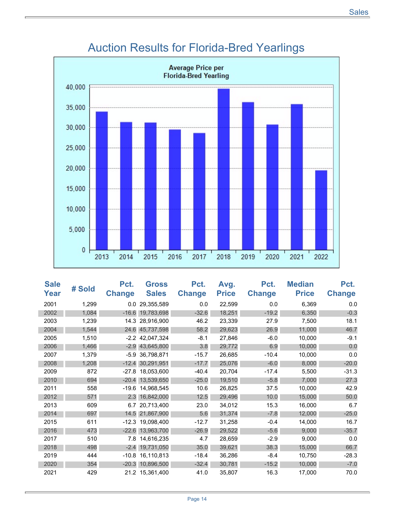

### Auction Results for Florida-Bred Yearlings

| <b>Sale</b><br>Year | # Sold | Pct.<br><b>Change</b> | <b>Gross</b><br><b>Sales</b> | Pct.<br><b>Change</b> | Avg.<br><b>Price</b> | Pct.<br><b>Change</b> | <b>Median</b><br><b>Price</b> | Pct.<br><b>Change</b> |
|---------------------|--------|-----------------------|------------------------------|-----------------------|----------------------|-----------------------|-------------------------------|-----------------------|
| 2001                | 1,299  |                       | 0.0 29,355,589               | 0.0                   | 22,599               | 0.0                   | 6,369                         | 0.0                   |
| 2002                | 1,084  |                       | -16.6 19,783,698             | $-32.6$               | 18,251               | $-19.2$               | 6,350                         | $-0.3$                |
| 2003                | 1,239  |                       | 14.3 28,916,900              | 46.2                  | 23,339               | 27.9                  | 7,500                         | 18.1                  |
| 2004                | 1,544  |                       | 24.6 45,737,598              | 58.2                  | 29,623               | 26.9                  | 11,000                        | 46.7                  |
| 2005                | 1,510  |                       | $-2.2$ 42,047,324            | $-8.1$                | 27,846               | $-6.0$                | 10,000                        | $-9.1$                |
| 2006                | 1,466  |                       | $-2.9$ 43,645,800            | 3.8                   | 29,772               | 6.9                   | 10,000                        | 0.0                   |
| 2007                | 1,379  |                       | -5.9 36,798,871              | $-15.7$               | 26,685               | $-10.4$               | 10,000                        | 0.0                   |
| 2008                | 1,208  | $-12.4$               | 30,291,951                   | $-17.7$               | 25,076               | $-6.0$                | 8,000                         | $-20.0$               |
| 2009                | 872    | $-27.8$               | 18,053,600                   | $-40.4$               | 20,704               | $-17.4$               | 5,500                         | $-31.3$               |
| 2010                | 694    |                       | -20.4 13,539,650             | $-25.0$               | 19,510               | $-5.8$                | 7,000                         | 27.3                  |
| 2011                | 558    |                       | -19.6 14,968,545             | 10.6                  | 26,825               | 37.5                  | 10,000                        | 42.9                  |
| 2012                | 571    |                       | 2.3 16,842,000               | 12.5                  | 29,496               | 10.0                  | 15,000                        | 50.0                  |
| 2013                | 609    |                       | 6.7 20,713,400               | 23.0                  | 34,012               | 15.3                  | 16,000                        | 6.7                   |
| 2014                | 697    | 14.5                  | 21,867,900                   | 5.6                   | 31,374               | $-7.8$                | 12,000                        | $-25.0$               |
| 2015                | 611    |                       | -12.3 19,098,400             | $-12.7$               | 31,258               | $-0.4$                | 14,000                        | 16.7                  |
| 2016                | 473    |                       | -22.6 13,963,700             | $-26.9$               | 29,522               | $-5.6$                | 9,000                         | $-35.7$               |
| 2017                | 510    |                       | 7.8 14,616,235               | 4.7                   | 28,659               | $-2.9$                | 9,000                         | 0.0                   |
| 2018                | 498    |                       | $-2.4$ 19,731,050            | 35.0                  | 39,621               | 38.3                  | 15,000                        | 66.7                  |
| 2019                | 444    | $-10.8$               | 16,110,813                   | $-18.4$               | 36,286               | -8.4                  | 10,750                        | $-28.3$               |
| 2020                | 354    |                       | -20.3 10,896,500             | $-32.4$               | 30,781               | $-15.2$               | 10,000                        | $-7.0$                |
| 2021                | 429    |                       | 21.2 15,361,400              | 41.0                  | 35,807               | 16.3                  | 17,000                        | 70.0                  |